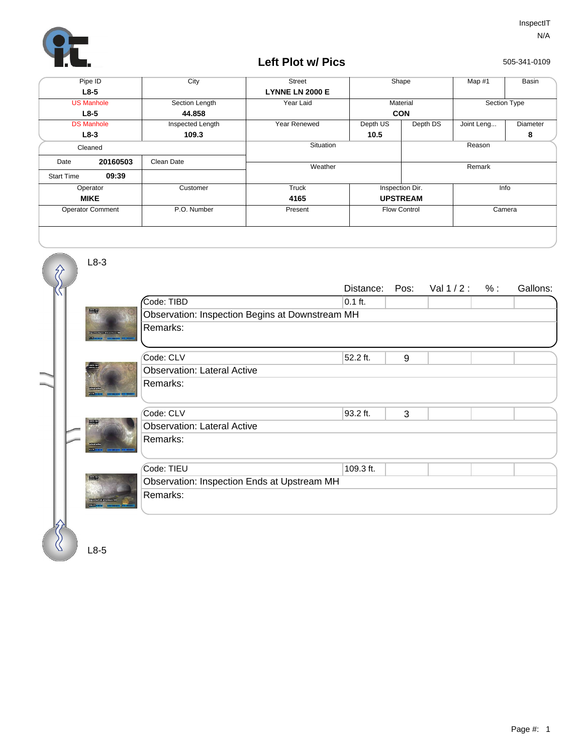

## **Left Plot w/ Pics**

505-341-0109

|                         | Pipe ID           | City             | <b>Street</b>          | Shape               |                 | Map #1       | Basin           |
|-------------------------|-------------------|------------------|------------------------|---------------------|-----------------|--------------|-----------------|
| $L8-5$                  |                   |                  | <b>LYNNE LN 2000 E</b> |                     |                 |              |                 |
|                         | <b>US Manhole</b> | Section Length   | Year Laid              | Material            |                 | Section Type |                 |
|                         | $L8-5$            | 44.858           |                        | <b>CON</b>          |                 |              |                 |
| <b>DS Manhole</b>       |                   | Inspected Length | Year Renewed           | Depth US            | Depth DS        | Joint Leng   | <b>Diameter</b> |
| $L8-3$                  |                   | 109.3            |                        | 10.5                |                 |              | 8               |
| Cleaned                 |                   |                  | Situation              |                     | Reason          |              |                 |
| Date                    | 20160503          | Clean Date       | Weather                |                     | Remark          |              |                 |
| <b>Start Time</b>       | 09:39             |                  |                        |                     |                 |              |                 |
|                         | Operator          | Customer         | Truck                  |                     | Inspection Dir. |              | Info            |
| <b>MIKE</b>             |                   |                  | 4165                   | <b>UPSTREAM</b>     |                 |              |                 |
| <b>Operator Comment</b> |                   | P.O. Number      | Present                | <b>Flow Control</b> |                 | Camera       |                 |
|                         |                   |                  |                        |                     |                 |              |                 |